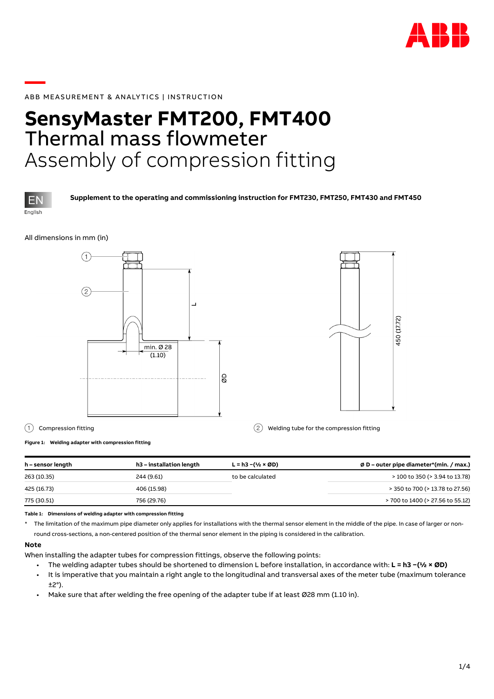

# **—**ABB MEASUREMENT & ANALY TICS | INSTRUCTION

# **SensyMaster FMT200, FMT400** Thermal mass flowmeter Assembly of compression fitting



**Supplement to the operating and commissioning instruction for FMT230, FMT250, FMT430 and FMT450**

#### All dimensions in mm (in)





1 Compression fitting 2 Welding tube for the compression fitting

**Figure 1: Welding adapter with compression fitting**

| h – sensor length | h3 – installation length | $L = h3 - (1/2 \times OD)$ | Ø D – outer pipe diameter*(min. / max.) |
|-------------------|--------------------------|----------------------------|-----------------------------------------|
| 263 (10.35)       | 244 (9.61)               | to be calculated           | > 100 to 350 (> 3.94 to 13.78)          |
| 425 (16.73)       | 406 (15.98)              |                            | > 350 to 700 (> 13.78 to 27.56)         |
| 775 (30.51)       | 756 (29.76)              |                            | > 700 to 1400 (> 27.56 to 55.12)        |
|                   |                          |                            |                                         |

**Table 1: Dimensions of welding adapter with compression fitting**

\* The limitation of the maximum pipe diameter only applies for installations with the thermal sensor element in the middle of the pipe. In case of larger or nonround cross-sections, a non-centered position of the thermal senor element in the piping is considered in the calibration.

#### **Note**

When installing the adapter tubes for compression fittings, observe the following points:

- The welding adapter tubes should be shortened to dimension L before installation, in accordance with: **L = h3 −(½ × ØD)**
- It is imperative that you maintain a right angle to the longitudinal and transversal axes of the meter tube (maximum tolerance ±2°).
- Make sure that after welding the free opening of the adapter tube if at least Ø28 mm (1.10 in).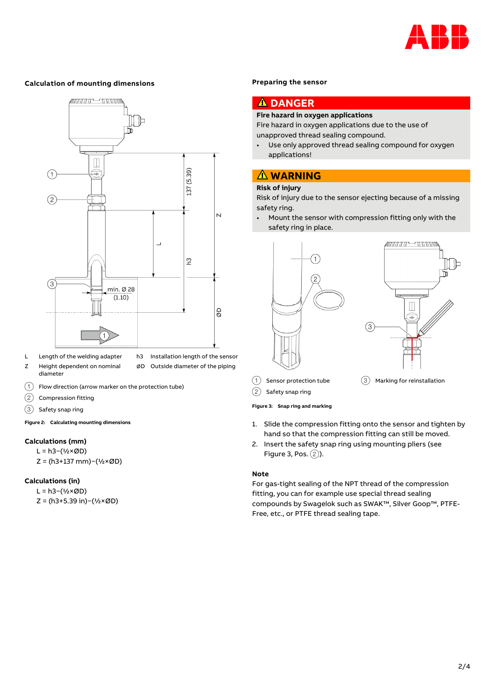

#### **Calculation of mounting dimensions**



- L Length of the welding adapter Z Height dependent on nominal diameter
- h3 Installation length of the sensor ∅D Outside diameter of the piping
- $(1)$  Flow direction (arrow marker on the protection tube)
- $(2)$  Compression fitting
- $(3)$  Safety snap ring

<span id="page-1-1"></span>**Figure 2: Calculating mounting dimensions**

### **Calculations (mm)**

L = h3−(½×ØD) Z = (h3+137 mm)−(½×ØD)

#### **Calculations (in)**

L = h3−(½×ØD) Z = (h3+5.39 in)−(½×ØD)

#### **Preparing the sensor**

#### $\blacktriangle$ **DANGER**

### **Fire hazard in oxygen applications**

Fire hazard in oxygen applications due to the use of unapproved thread sealing compound.

• Use only approved thread sealing compound for oxygen applications!

## **WARNING**

## **Risk of injury**

Risk of injury due to the sensor ejecting because of a missing safety ring.

• Mount the sensor with compression fitting only with the safety ring in place.



 $(2)$  Safety snap ring

#### <span id="page-1-0"></span>**Figure 3: Snap ring and marking**

- 1. Slide the compression fitting onto the sensor and tighten by hand so that the compression fitting can still be moved.
- 2. Insert the safety snap ring using mounting pliers (see [Figure 3,](#page-1-0) Pos.  $(2)$ ).

#### **Note**

For gas-tight sealing of the NPT thread of the compression fitting, you can for example use special thread sealing compounds by Swagelok such as SWAK™, Silver Goop™, PTFE-Free, etc., or PTFE thread sealing tape.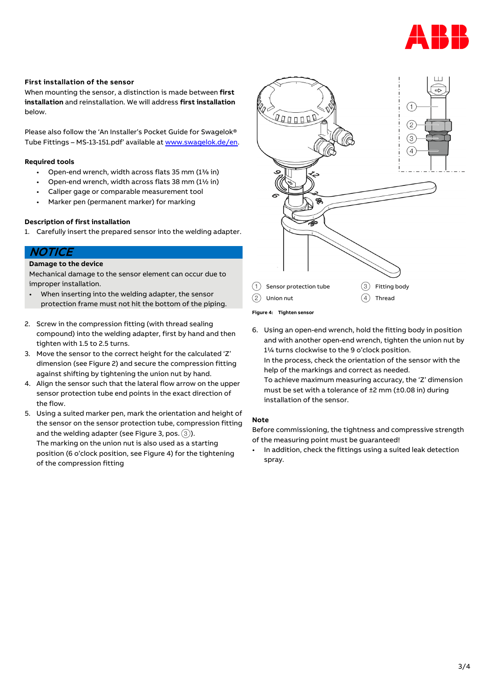

#### **First installation of the sensor**

When mounting the sensor, a distinction is made between **first installation** and reinstallation. We will address **first installation** below.

Please also follow the 'An Installer's Pocket Guide for Swagelok® Tube Fittings – MS-13-151.pdf' available a[t www.swagelok.de/en.](http://www.swagelok.de/en) 

#### **Required tools**

- Open-end wrench, width across flats 35 mm (1<sup>3</sup>/<sub>8</sub> in)
- Open-end wrench, width across flats 38 mm (1½ in)
- Caliper gage or comparable measurement tool
- Marker pen (permanent marker) for marking

#### **Description of first installation**

1. Carefully insert the prepared sensor into the welding adapter.

## **NOTICE**

#### **Damage to the device**

Mechanical damage to the sensor element can occur due to improper installation.

- When inserting into the welding adapter, the sensor protection frame must not hit the bottom of the piping.
- 2. Screw in the compression fitting (with thread sealing compound) into the welding adapter, first by hand and then tighten with 1.5 to 2.5 turns.
- 3. Move the sensor to the correct height for the calculated 'Z' dimension (se[e Figure 2\)](#page-1-1) and secure the compression fitting against shifting by tightening the union nut by hand.
- 4. Align the sensor such that the lateral flow arrow on the upper sensor protection tube end points in the exact direction of the flow.
- 5. Using a suited marker pen, mark the orientation and height of the sensor on the sensor protection tube, compression fitting and the welding adapter (see [Figure 3,](#page-1-0) pos.  $(3)$ ). The marking on the union nut is also used as a starting position (6 o'clock position, se[e Figure 4\)](#page-2-0) for the tightening of the compression fitting



<span id="page-2-0"></span>**Figure 4: Tighten sensor**

6. Using an open-end wrench, hold the fitting body in position and with another open-end wrench, tighten the union nut by 1¼ turns clockwise to the 9 o'clock position. In the process, check the orientation of the sensor with the help of the markings and correct as needed. To achieve maximum measuring accuracy, the 'Z' dimension must be set with a tolerance of ±2 mm (±0.08 in) during installation of the sensor.

#### **Note**

Before commissioning, the tightness and compressive strength of the measuring point must be guaranteed!

In addition, check the fittings using a suited leak detection spray.